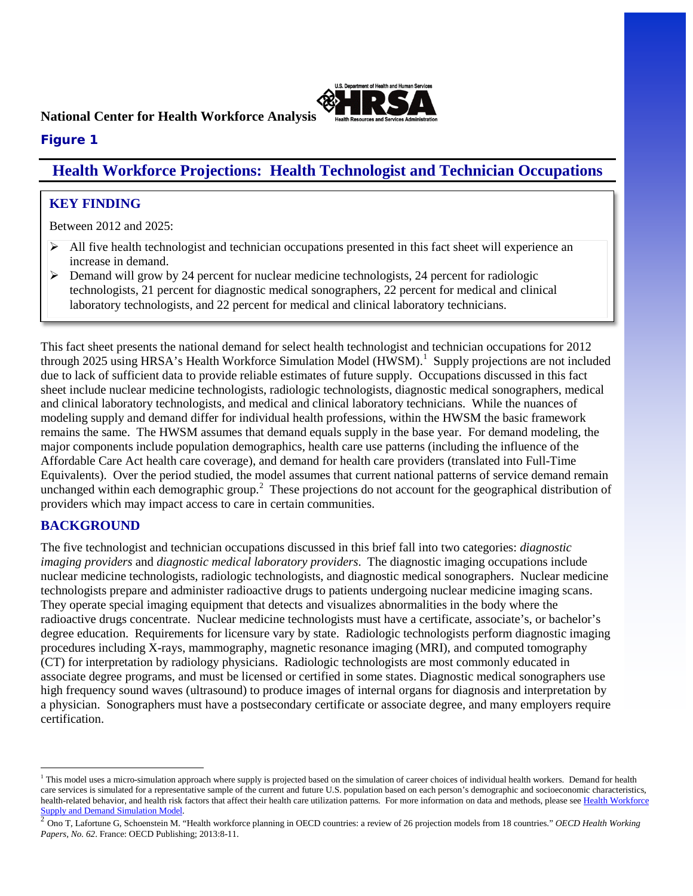

### **National Center for Health Workforce Analysis**

## **Figure 1**

# **Health Workforce Projections: Health Technologist and Technician Occupations**

### **KEY FINDING**

Between 2012 and 2025:

- $\triangleright$  All five health technologist and technician occupations presented in this fact sheet will experience an increase in demand.
- $\triangleright$  Demand will grow by 24 percent for nuclear medicine technologists, 24 percent for radiologic technologists, 21 percent for diagnostic medical sonographers, 22 percent for medical and clinical laboratory technologists, and 22 percent for medical and clinical laboratory technicians.

This fact sheet presents the national demand for select health technologist and technician occupations for 2012 through 2025 using HRSA's Health Workforce Simulation Model (HWSM).<sup>[1](#page-0-0)</sup> Supply projections are not included due to lack of sufficient data to provide reliable estimates of future supply. Occupations discussed in this fact sheet include nuclear medicine technologists, radiologic technologists, diagnostic medical sonographers, medical and clinical laboratory technologists, and medical and clinical laboratory technicians. While the nuances of modeling supply and demand differ for individual health professions, within the HWSM the basic framework remains the same. The HWSM assumes that demand equals supply in the base year. For demand modeling, the major components include population demographics, health care use patterns (including the influence of the Affordable Care Act health care coverage), and demand for health care providers (translated into Full-Time Equivalents). Over the period studied, the model assumes that current national patterns of service demand remain unchanged within each demographic group.<sup>[2](#page-0-1)</sup> These projections do not account for the geographical distribution of providers which may impact access to care in certain communities.

## **BACKGROUND**

 $\overline{a}$ 

The five technologist and technician occupations discussed in this brief fall into two categories: *diagnostic imaging providers* and *diagnostic medical laboratory providers*. The diagnostic imaging occupations include nuclear medicine technologists, radiologic technologists, and diagnostic medical sonographers. Nuclear medicine technologists prepare and administer radioactive drugs to patients undergoing nuclear medicine imaging scans. They operate special imaging equipment that detects and visualizes abnormalities in the body where the radioactive drugs concentrate. Nuclear medicine technologists must have a certificate, associate's, or bachelor's degree education. Requirements for licensure vary by state. Radiologic technologists perform diagnostic imaging procedures including X-rays, mammography, magnetic resonance imaging (MRI), and computed tomography (CT) for interpretation by radiology physicians. Radiologic technologists are most commonly educated in associate degree programs, and must be licensed or certified in some states. Diagnostic medical sonographers use high frequency sound waves (ultrasound) to produce images of internal organs for diagnosis and interpretation by a physician. Sonographers must have a postsecondary certificate or associate degree, and many employers require certification.

<span id="page-0-0"></span><sup>&</sup>lt;sup>1</sup> This model uses a micro-simulation approach where supply is projected based on the simulation of career choices of individual health workers. Demand for health care services is simulated for a representative sample of the current and future U.S. population based on each person's demographic and socioeconomic characteristics, health-related behavior, and health risk factors that affect their health care utilization patterns. For more information on data and methods, please see [Health Workforce](http://bhw.hrsa.gov/healthworkforce/supplydemand/simulationmodeldocumentation.pdf) Supply and Demand Simulation Model.

<span id="page-0-1"></span><sup>&</sup>lt;sup>2</sup> Ono T, Lafortune G, Schoenstein M. "Health workforce planning in OECD countries: a review of 26 projection models from 18 countries." *OECD Health Working Papers, No. 62*. France: OECD Publishing; 2013:8-11.